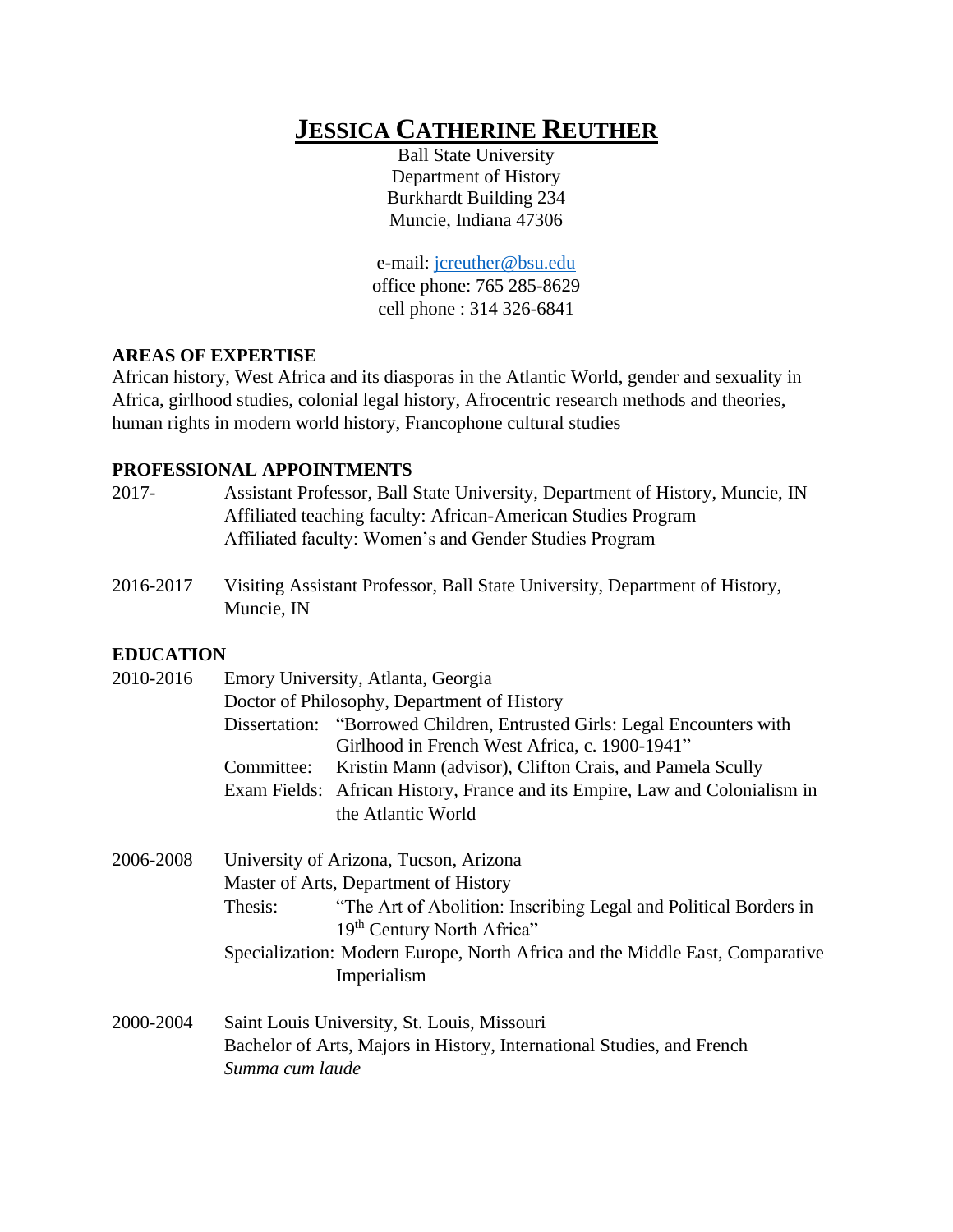# **JESSICA CATHERINE REUTHER**

Ball State University Department of History Burkhardt Building 234 Muncie, Indiana 47306

e-mail: [jcreuther@bsu.edu](mailto:jcreuther@bsu.edu) office phone: 765 285-8629 cell phone : 314 326-6841

## **AREAS OF EXPERTISE**

African history, West Africa and its diasporas in the Atlantic World, gender and sexuality in Africa, girlhood studies, colonial legal history, Afrocentric research methods and theories, human rights in modern world history, Francophone cultural studies

## **PROFESSIONAL APPOINTMENTS**

- 2017- Assistant Professor, Ball State University, Department of History, Muncie, IN Affiliated teaching faculty: African-American Studies Program Affiliated faculty: Women's and Gender Studies Program
- 2016-2017 Visiting Assistant Professor, Ball State University, Department of History, Muncie, IN

## **EDUCATION**

| 2010-2016 | Emory University, Atlanta, Georgia                                                          |                                                                                                             |  |
|-----------|---------------------------------------------------------------------------------------------|-------------------------------------------------------------------------------------------------------------|--|
|           | Doctor of Philosophy, Department of History                                                 |                                                                                                             |  |
|           | Dissertation:                                                                               | "Borrowed Children, Entrusted Girls: Legal Encounters with<br>Girlhood in French West Africa, c. 1900-1941" |  |
|           | Committee:                                                                                  | Kristin Mann (advisor), Clifton Crais, and Pamela Scully                                                    |  |
|           |                                                                                             | Exam Fields: African History, France and its Empire, Law and Colonialism in<br>the Atlantic World           |  |
| 2006-2008 | University of Arizona, Tucson, Arizona                                                      |                                                                                                             |  |
|           | Master of Arts, Department of History                                                       |                                                                                                             |  |
|           | Thesis:                                                                                     | "The Art of Abolition: Inscribing Legal and Political Borders in<br>19th Century North Africa"              |  |
|           | Specialization: Modern Europe, North Africa and the Middle East, Comparative<br>Imperialism |                                                                                                             |  |
| 2000-2004 |                                                                                             | Saint Louis Hniversity St Louis Missouri                                                                    |  |

2000-2004 Saint Louis University, St. Louis, Missouri Bachelor of Arts, Majors in History, International Studies, and French *Summa cum laude*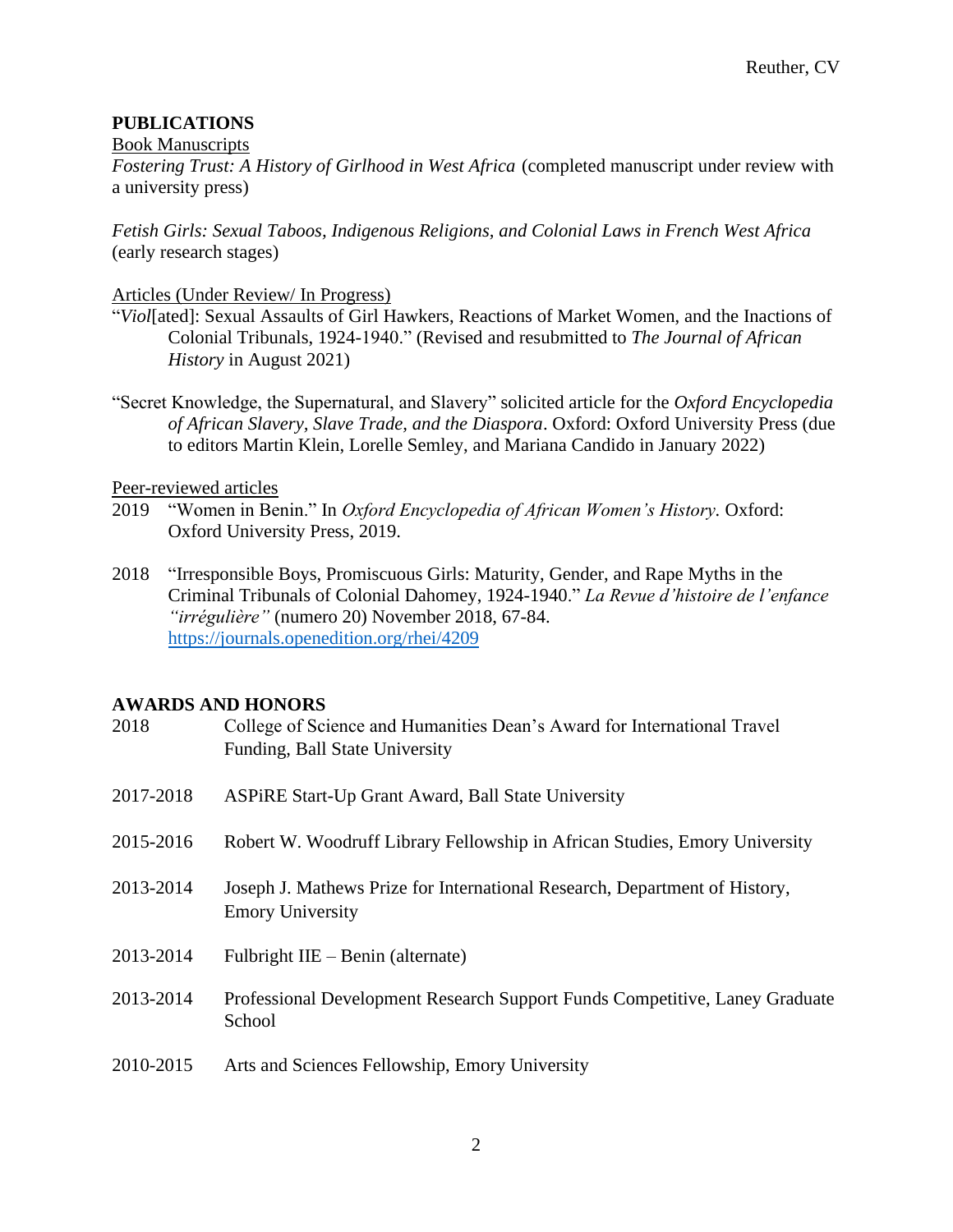# **PUBLICATIONS**

#### Book Manuscripts

*Fostering Trust: A History of Girlhood in West Africa* (completed manuscript under review with a university press)

*Fetish Girls: Sexual Taboos, Indigenous Religions, and Colonial Laws in French West Africa* (early research stages)

## Articles (Under Review/ In Progress)

- "*Viol*[ated]: Sexual Assaults of Girl Hawkers, Reactions of Market Women, and the Inactions of Colonial Tribunals, 1924-1940." (Revised and resubmitted to *The Journal of African History* in August 2021)
- "Secret Knowledge, the Supernatural, and Slavery" solicited article for the *Oxford Encyclopedia of African Slavery, Slave Trade, and the Diaspora*. Oxford: Oxford University Press (due to editors Martin Klein, Lorelle Semley, and Mariana Candido in January 2022)

## Peer-reviewed articles

- 2019 "Women in Benin." In *Oxford Encyclopedia of African Women's History.* Oxford: Oxford University Press, 2019.
- 2018 "Irresponsible Boys, Promiscuous Girls: Maturity, Gender, and Rape Myths in the Criminal Tribunals of Colonial Dahomey, 1924-1940." *La Revue d'histoire de l'enfance "irrégulière"* (numero 20) November 2018, 67-84. <https://journals.openedition.org/rhei/4209>

#### **AWARDS AND HONORS**

| 2018      | College of Science and Humanities Dean's Award for International Travel<br>Funding, Ball State University |
|-----------|-----------------------------------------------------------------------------------------------------------|
| 2017-2018 | ASPIRE Start-Up Grant Award, Ball State University                                                        |
| 2015-2016 | Robert W. Woodruff Library Fellowship in African Studies, Emory University                                |
| 2013-2014 | Joseph J. Mathews Prize for International Research, Department of History,<br><b>Emory University</b>     |
| 2013-2014 | Fulbright IIE – Benin (alternate)                                                                         |
| 2013-2014 | Professional Development Research Support Funds Competitive, Laney Graduate<br>School                     |
| 2010-2015 | Arts and Sciences Fellowship, Emory University                                                            |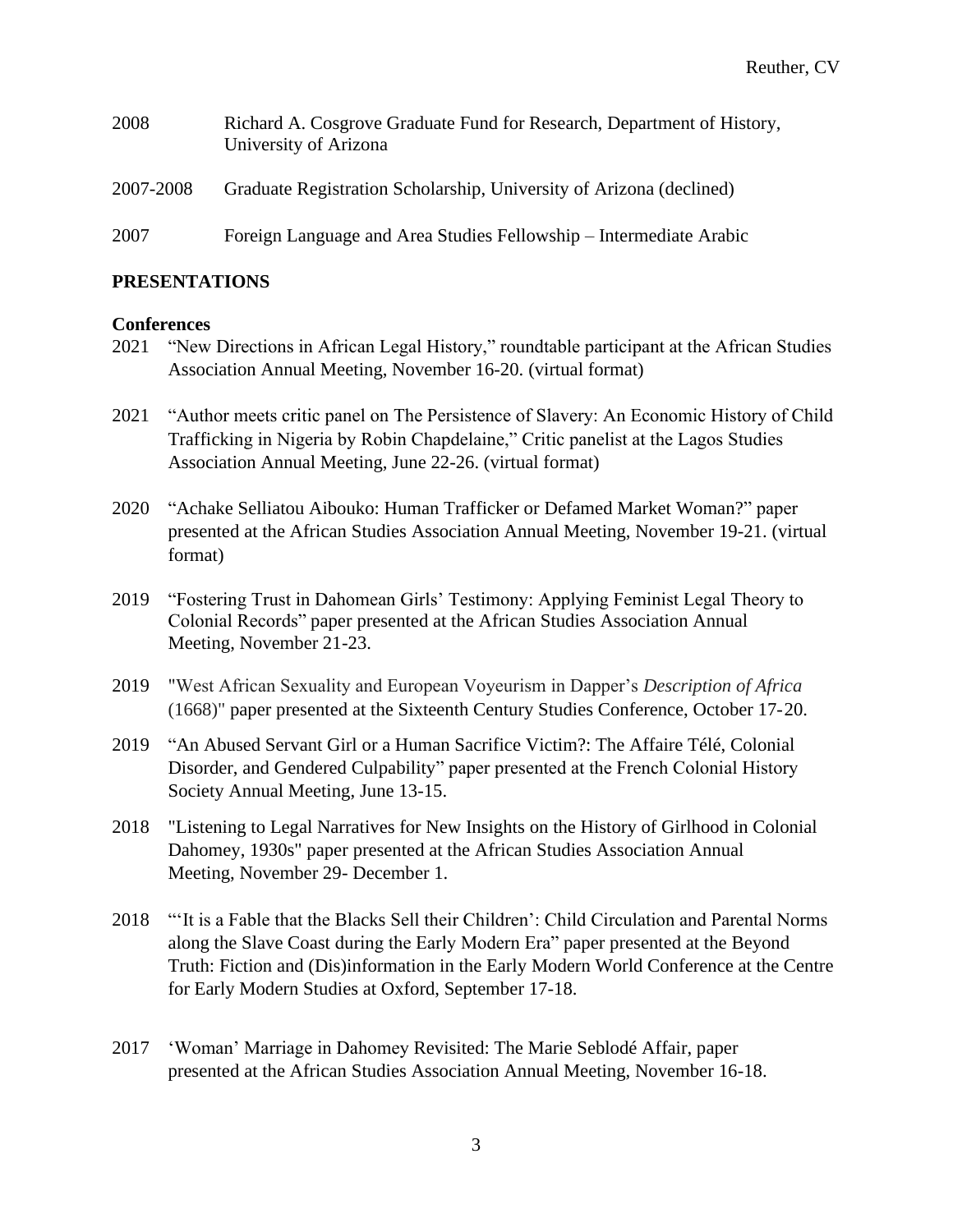| 2008      | Richard A. Cosgrove Graduate Fund for Research, Department of History,<br>University of Arizona |
|-----------|-------------------------------------------------------------------------------------------------|
| 2007-2008 | Graduate Registration Scholarship, University of Arizona (declined)                             |
| 2007      | Foreign Language and Area Studies Fellowship – Intermediate Arabic                              |

#### **PRESENTATIONS**

#### **Conferences**

- 2021 "New Directions in African Legal History," roundtable participant at the African Studies Association Annual Meeting, November 16-20. (virtual format)
- 2021 "Author meets critic panel on The Persistence of Slavery: An Economic History of Child Trafficking in Nigeria by Robin Chapdelaine," Critic panelist at the Lagos Studies Association Annual Meeting, June 22-26. (virtual format)
- 2020 "Achake Selliatou Aibouko: Human Trafficker or Defamed Market Woman?" paper presented at the African Studies Association Annual Meeting, November 19-21. (virtual format)
- 2019 "Fostering Trust in Dahomean Girls' Testimony: Applying Feminist Legal Theory to Colonial Records" paper presented at the African Studies Association Annual Meeting, November 21-23.
- 2019 "West African Sexuality and European Voyeurism in Dapper's *Description of Africa* (1668)" paper presented at the Sixteenth Century Studies Conference, October 17-20.
- 2019 "An Abused Servant Girl or a Human Sacrifice Victim?: The Affaire Télé, Colonial Disorder, and Gendered Culpability" paper presented at the French Colonial History Society Annual Meeting, June 13-15.
- 2018 "Listening to Legal Narratives for New Insights on the History of Girlhood in Colonial Dahomey, 1930s" paper presented at the African Studies Association Annual Meeting, November 29- December 1.
- 2018 "It is a Fable that the Blacks Sell their Children': Child Circulation and Parental Norms along the Slave Coast during the Early Modern Era" paper presented at the Beyond Truth: Fiction and (Dis)information in the Early Modern World Conference at the Centre for Early Modern Studies at Oxford, September 17-18.
- 2017 'Woman' Marriage in Dahomey Revisited: The Marie Seblodé Affair, paper presented at the African Studies Association Annual Meeting, November 16-18.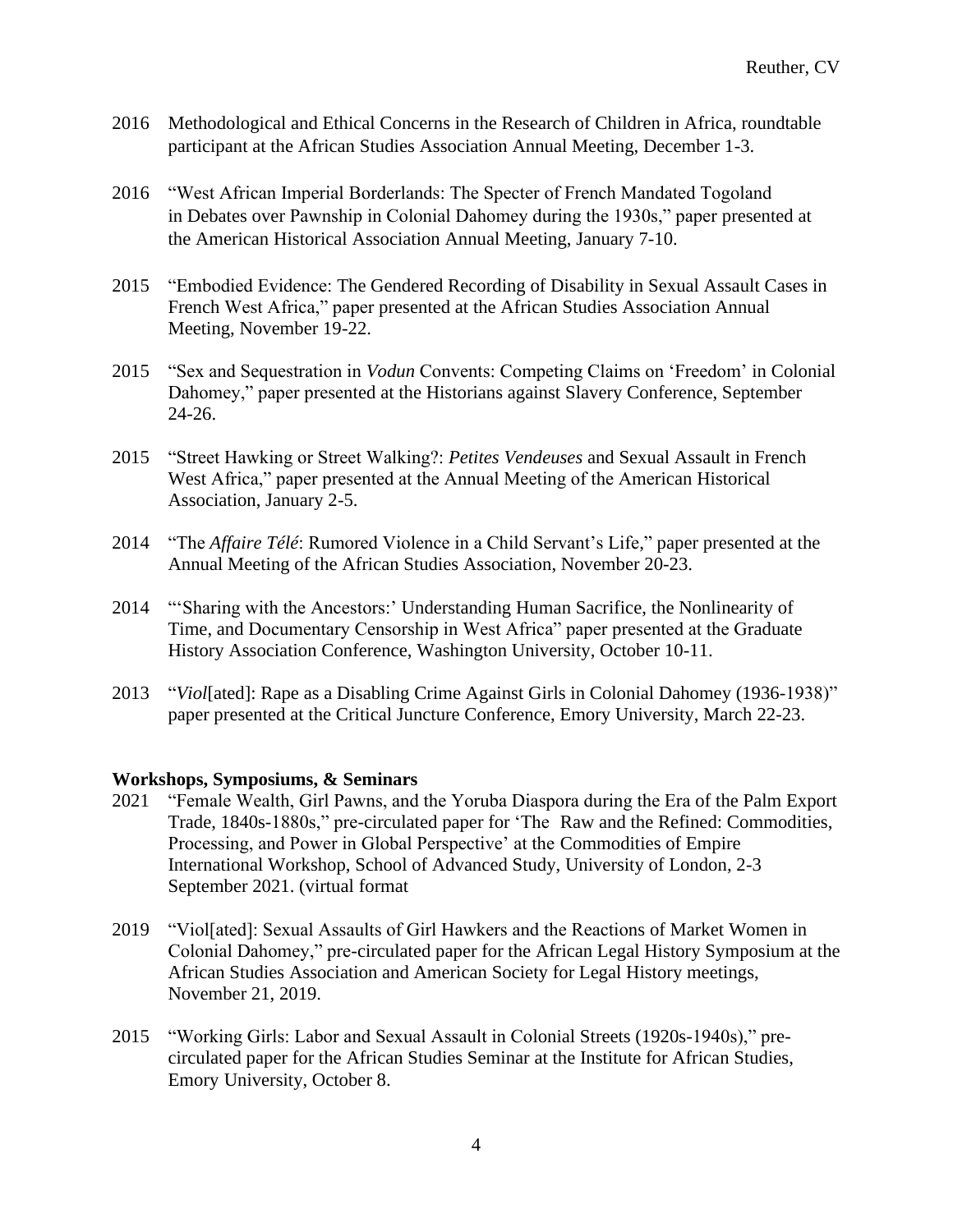- 2016 Methodological and Ethical Concerns in the Research of Children in Africa, roundtable participant at the African Studies Association Annual Meeting, December 1-3.
- 2016 "West African Imperial Borderlands: The Specter of French Mandated Togoland in Debates over Pawnship in Colonial Dahomey during the 1930s," paper presented at the American Historical Association Annual Meeting, January 7-10.
- 2015 "Embodied Evidence: The Gendered Recording of Disability in Sexual Assault Cases in French West Africa," paper presented at the African Studies Association Annual Meeting, November 19-22.
- 2015 "Sex and Sequestration in *Vodun* Convents: Competing Claims on 'Freedom' in Colonial Dahomey," paper presented at the Historians against Slavery Conference, September 24-26.
- 2015 "Street Hawking or Street Walking?: *Petites Vendeuses* and Sexual Assault in French West Africa," paper presented at the Annual Meeting of the American Historical Association, January 2-5.
- 2014 "The *Affaire Télé*: Rumored Violence in a Child Servant's Life," paper presented at the Annual Meeting of the African Studies Association, November 20-23.
- 2014 "'Sharing with the Ancestors:' Understanding Human Sacrifice, the Nonlinearity of Time, and Documentary Censorship in West Africa" paper presented at the Graduate History Association Conference, Washington University, October 10-11.
- 2013 "*Viol*[ated]: Rape as a Disabling Crime Against Girls in Colonial Dahomey (1936-1938)" paper presented at the Critical Juncture Conference, Emory University, March 22-23.

#### **Workshops, Symposiums, & Seminars**

- 2021 "Female Wealth, Girl Pawns, and the Yoruba Diaspora during the Era of the Palm Export Trade, 1840s-1880s," pre-circulated paper for 'The Raw and the Refined: Commodities, Processing, and Power in Global Perspective' at the Commodities of Empire International Workshop, School of Advanced Study, University of London, 2-3 September 2021. (virtual format
- 2019 "Viol[ated]: Sexual Assaults of Girl Hawkers and the Reactions of Market Women in Colonial Dahomey," pre-circulated paper for the African Legal History Symposium at the African Studies Association and American Society for Legal History meetings, November 21, 2019.
- 2015 "Working Girls: Labor and Sexual Assault in Colonial Streets (1920s-1940s)," precirculated paper for the African Studies Seminar at the Institute for African Studies, Emory University, October 8.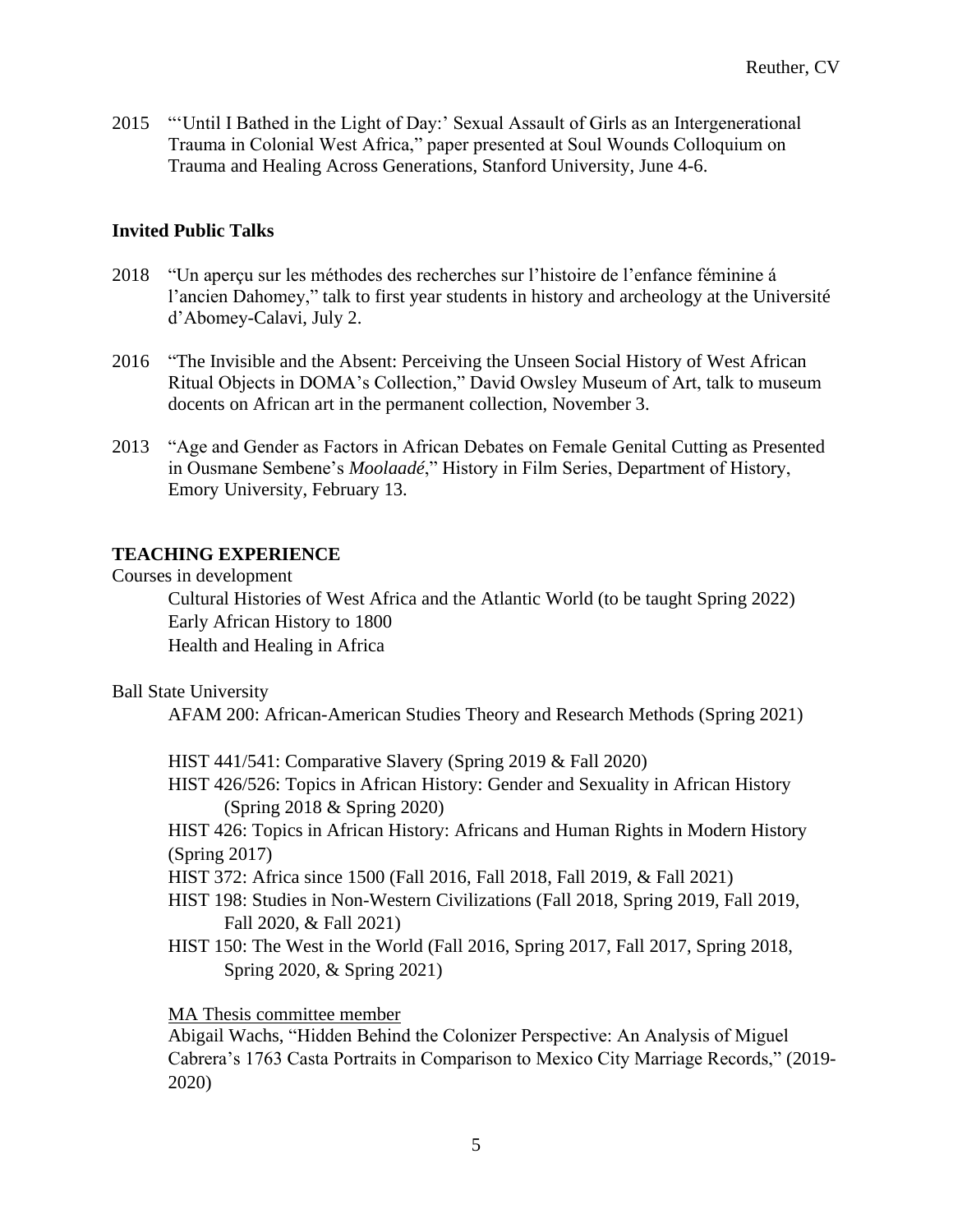2015 "'Until I Bathed in the Light of Day:' Sexual Assault of Girls as an Intergenerational Trauma in Colonial West Africa," paper presented at Soul Wounds Colloquium on Trauma and Healing Across Generations, Stanford University, June 4-6.

## **Invited Public Talks**

- 2018 "Un aperçu sur les méthodes des recherches sur l'histoire de l'enfance féminine á l'ancien Dahomey," talk to first year students in history and archeology at the Université d'Abomey-Calavi, July 2.
- 2016 "The Invisible and the Absent: Perceiving the Unseen Social History of West African Ritual Objects in DOMA's Collection," David Owsley Museum of Art, talk to museum docents on African art in the permanent collection, November 3.
- 2013 "Age and Gender as Factors in African Debates on Female Genital Cutting as Presented in Ousmane Sembene's *Moolaadé*," History in Film Series, Department of History, Emory University, February 13.

## **TEACHING EXPERIENCE**

Courses in development

Cultural Histories of West Africa and the Atlantic World (to be taught Spring 2022) Early African History to 1800 Health and Healing in Africa

#### Ball State University

AFAM 200: African-American Studies Theory and Research Methods (Spring 2021)

HIST 441/541: Comparative Slavery (Spring 2019 & Fall 2020)

HIST 426/526: Topics in African History: Gender and Sexuality in African History (Spring 2018 & Spring 2020)

HIST 426: Topics in African History: Africans and Human Rights in Modern History (Spring 2017)

HIST 372: Africa since 1500 (Fall 2016, Fall 2018, Fall 2019, & Fall 2021)

- HIST 198: Studies in Non-Western Civilizations (Fall 2018, Spring 2019, Fall 2019, Fall 2020, & Fall 2021)
- HIST 150: The West in the World (Fall 2016, Spring 2017, Fall 2017, Spring 2018, Spring 2020, & Spring 2021)

## MA Thesis committee member

Abigail Wachs, "Hidden Behind the Colonizer Perspective: An Analysis of Miguel Cabrera's 1763 Casta Portraits in Comparison to Mexico City Marriage Records," (2019- 2020)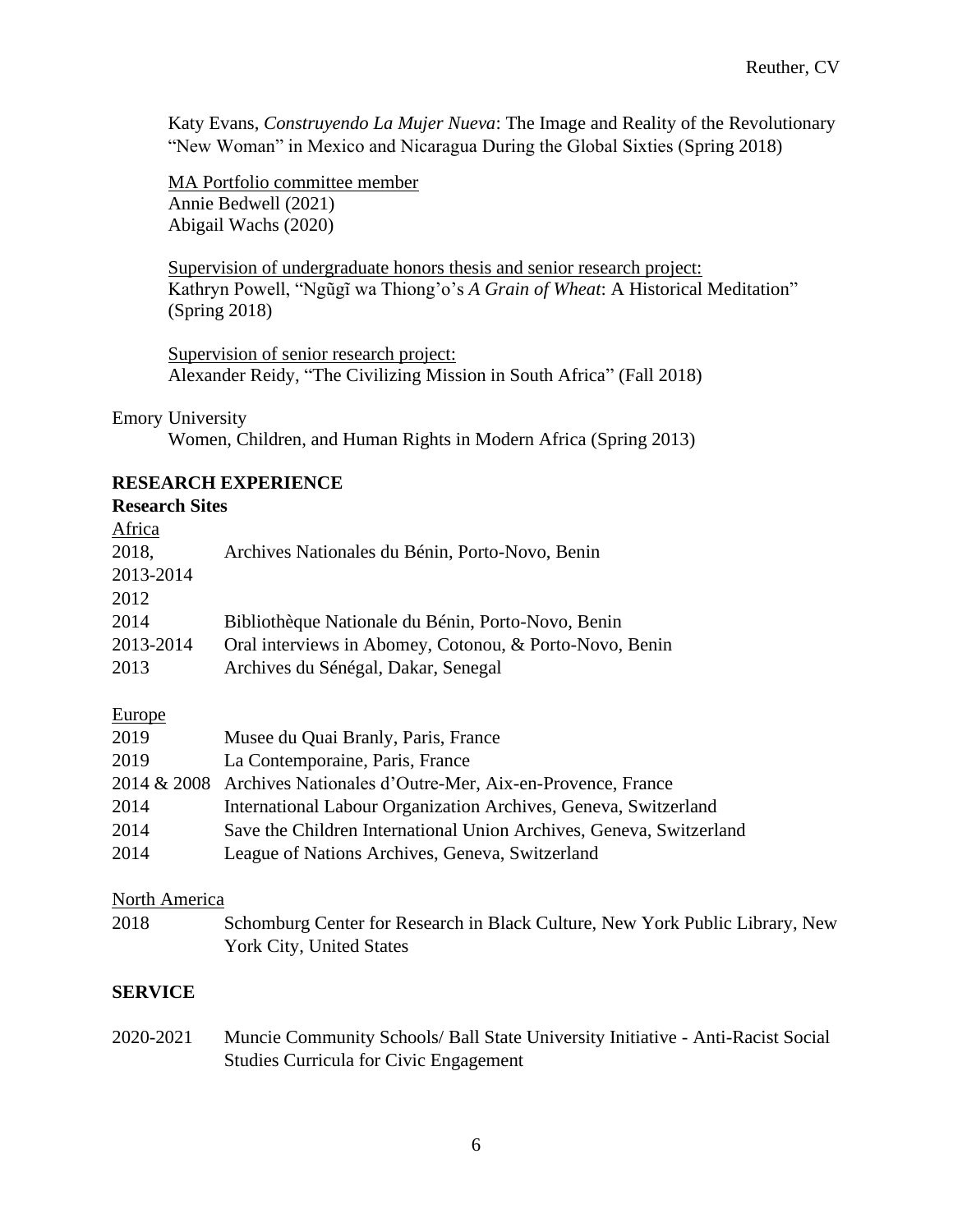Katy Evans, *Construyendo La Mujer Nueva*: The Image and Reality of the Revolutionary "New Woman" in Mexico and Nicaragua During the Global Sixties (Spring 2018)

MA Portfolio committee member Annie Bedwell (2021) Abigail Wachs (2020)

Supervision of undergraduate honors thesis and senior research project: Kathryn Powell, "Ngũgĩ wa Thiong'o's *A Grain of Wheat*: A Historical Meditation" (Spring 2018)

Supervision of senior research project: Alexander Reidy, "The Civilizing Mission in South Africa" (Fall 2018)

#### Emory University

Women, Children, and Human Rights in Modern Africa (Spring 2013)

## **RESEARCH EXPERIENCE**

#### **Research Sites**

**Africa** 

| Africa    |                                                         |
|-----------|---------------------------------------------------------|
| 2018,     | Archives Nationales du Bénin, Porto-Novo, Benin         |
| 2013-2014 |                                                         |
| 2012      |                                                         |
| 2014      | Bibliothèque Nationale du Bénin, Porto-Novo, Benin      |
| 2013-2014 | Oral interviews in Abomey, Cotonou, & Porto-Novo, Benin |
| 2013      | Archives du Sénégal, Dakar, Senegal                     |
|           |                                                         |

# Europe

| 2019 | Musee du Quai Branly, Paris, France                                  |
|------|----------------------------------------------------------------------|
| 2019 | La Contemporaine, Paris, France                                      |
|      | 2014 & 2008 Archives Nationales d'Outre-Mer, Aix-en-Provence, France |
| 2014 | International Labour Organization Archives, Geneva, Switzerland      |
| 2014 | Save the Children International Union Archives, Geneva, Switzerland  |
| 2014 | League of Nations Archives, Geneva, Switzerland                      |

#### North America

2018 Schomburg Center for Research in Black Culture, New York Public Library, New York City, United States

## **SERVICE**

2020-2021 Muncie Community Schools/ Ball State University Initiative - Anti-Racist Social Studies Curricula for Civic Engagement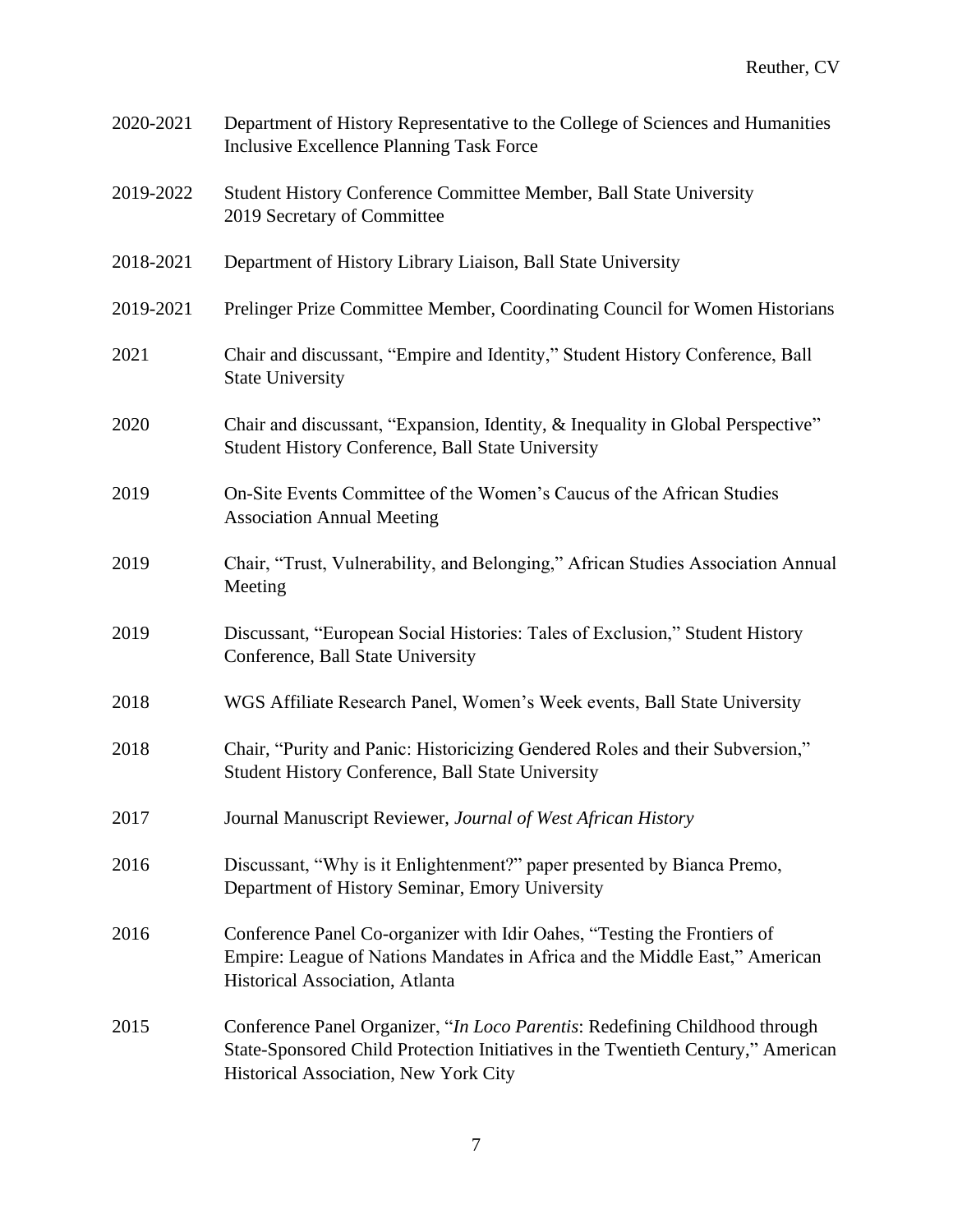| 2020-2021 | Department of History Representative to the College of Sciences and Humanities<br><b>Inclusive Excellence Planning Task Force</b>                                                                        |  |
|-----------|----------------------------------------------------------------------------------------------------------------------------------------------------------------------------------------------------------|--|
| 2019-2022 | Student History Conference Committee Member, Ball State University<br>2019 Secretary of Committee                                                                                                        |  |
| 2018-2021 | Department of History Library Liaison, Ball State University                                                                                                                                             |  |
| 2019-2021 | Prelinger Prize Committee Member, Coordinating Council for Women Historians                                                                                                                              |  |
| 2021      | Chair and discussant, "Empire and Identity," Student History Conference, Ball<br><b>State University</b>                                                                                                 |  |
| 2020      | Chair and discussant, "Expansion, Identity, & Inequality in Global Perspective"<br><b>Student History Conference, Ball State University</b>                                                              |  |
| 2019      | On-Site Events Committee of the Women's Caucus of the African Studies<br><b>Association Annual Meeting</b>                                                                                               |  |
| 2019      | Chair, "Trust, Vulnerability, and Belonging," African Studies Association Annual<br>Meeting                                                                                                              |  |
| 2019      | Discussant, "European Social Histories: Tales of Exclusion," Student History<br>Conference, Ball State University                                                                                        |  |
| 2018      | WGS Affiliate Research Panel, Women's Week events, Ball State University                                                                                                                                 |  |
| 2018      | Chair, "Purity and Panic: Historicizing Gendered Roles and their Subversion,"<br>Student History Conference, Ball State University                                                                       |  |
| 2017      | Journal Manuscript Reviewer, Journal of West African History                                                                                                                                             |  |
| 2016      | Discussant, "Why is it Enlightenment?" paper presented by Bianca Premo,<br>Department of History Seminar, Emory University                                                                               |  |
| 2016      | Conference Panel Co-organizer with Idir Oahes, "Testing the Frontiers of<br>Empire: League of Nations Mandates in Africa and the Middle East," American<br>Historical Association, Atlanta               |  |
| 2015      | Conference Panel Organizer, "In Loco Parentis: Redefining Childhood through<br>State-Sponsored Child Protection Initiatives in the Twentieth Century," American<br>Historical Association, New York City |  |